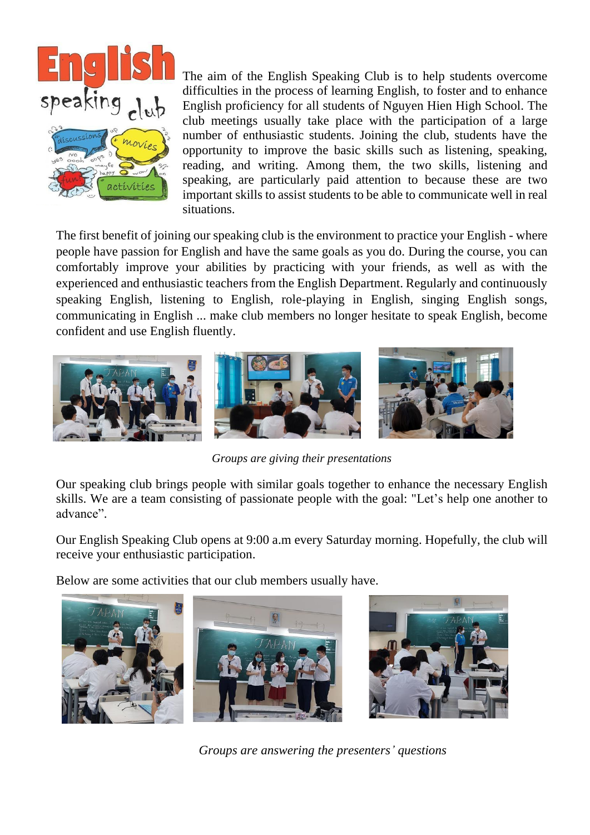

The aim of the English Speaking Club is to help students overcome difficulties in the process of learning English, to foster and to enhance English proficiency for all students of Nguyen Hien High School. The club meetings usually take place with the participation of a large number of enthusiastic students. Joining the club, students have the opportunity to improve the basic skills such as listening, speaking, reading, and writing. Among them, the two skills, listening and speaking, are particularly paid attention to because these are two important skills to assist students to be able to communicate well in real situations.

The first benefit of joining our speaking club is the environment to practice your English - where people have passion for English and have the same goals as you do. During the course, you can comfortably improve your abilities by practicing with your friends, as well as with the experienced and enthusiastic teachers from the English Department. Regularly and continuously speaking English, listening to English, role-playing in English, singing English songs, communicating in English ... make club members no longer hesitate to speak English, become confident and use English fluently.



*Groups are giving their presentations*

Our speaking club brings people with similar goals together to enhance the necessary English skills. We are a team consisting of passionate people with the goal: "Let's help one another to advance".

Our English Speaking Club opens at 9:00 a.m every Saturday morning. Hopefully, the club will receive your enthusiastic participation.

Below are some activities that our club members usually have.



*Groups are answering the presenters' questions*